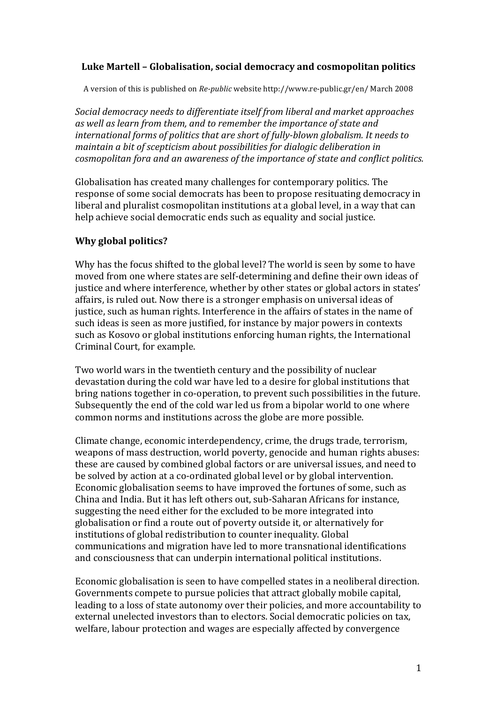## Luke Martell - Globalisation, social democracy and cosmopolitan politics

A version of this is published on *Re-public* website http://www.re-public.gr/en/ March 2008

*Social democracy needs to differentiate itself from liberal and market approaches* as well as learn from them, and to remember the *importance* of state and international forms of politics that are short of fully-blown globalism. It needs to *maintain a bit of scepticism about possibilities for dialogic deliberation in cosmopolitan fora and an awareness of the importance of state and conflict politics.* 

Globalisation has created many challenges for contemporary politics. The response of some social democrats has been to propose resituating democracy in liberal and pluralist cosmopolitan institutions at a global level, in a way that can help achieve social democratic ends such as equality and social justice.

## **Why global politics?**

Why has the focus shifted to the global level? The world is seen by some to have moved from one where states are self-determining and define their own ideas of justice and where interference, whether by other states or global actors in states' affairs, is ruled out. Now there is a stronger emphasis on universal ideas of justice, such as human rights. Interference in the affairs of states in the name of such ideas is seen as more justified, for instance by major powers in contexts such as Kosovo or global institutions enforcing human rights, the International Criminal Court, for example.

Two world wars in the twentieth century and the possibility of nuclear devastation during the cold war have led to a desire for global institutions that bring nations together in co-operation, to prevent such possibilities in the future. Subsequently the end of the cold war led us from a bipolar world to one where common norms and institutions across the globe are more possible.

Climate change, economic interdependency, crime, the drugs trade, terrorism, weapons of mass destruction, world poverty, genocide and human rights abuses: these are caused by combined global factors or are universal issues, and need to be solved by action at a co-ordinated global level or by global intervention. Economic globalisation seems to have improved the fortunes of some, such as China and India. But it has left others out, sub-Saharan Africans for instance, suggesting the need either for the excluded to be more integrated into globalisation or find a route out of poverty outside it, or alternatively for institutions of global redistribution to counter inequality. Global communications and migration have led to more transnational identifications and consciousness that can underpin international political institutions.

Economic globalisation is seen to have compelled states in a neoliberal direction. Governments compete to pursue policies that attract globally mobile capital, leading to a loss of state autonomy over their policies, and more accountability to external unelected investors than to electors. Social democratic policies on tax, welfare, labour protection and wages are especially affected by convergence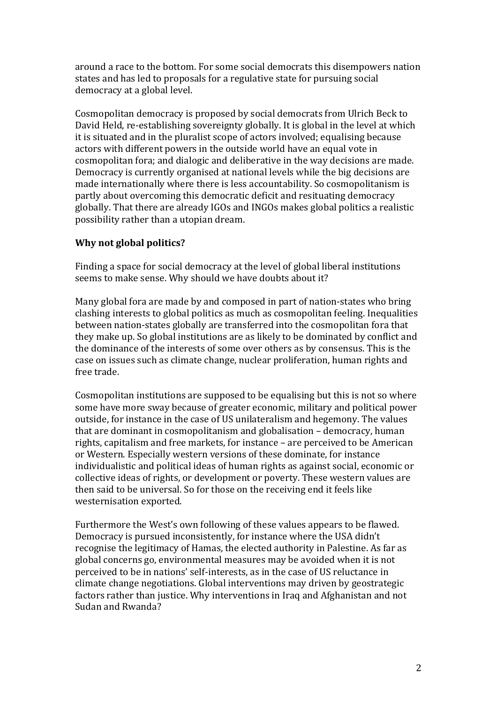around a race to the bottom. For some social democrats this disempowers nation states and has led to proposals for a regulative state for pursuing social democracy at a global level.

Cosmopolitan democracy is proposed by social democrats from Ulrich Beck to David Held, re-establishing sovereignty globally. It is global in the level at which it is situated and in the pluralist scope of actors involved; equalising because actors with different powers in the outside world have an equal vote in cosmopolitan fora; and dialogic and deliberative in the way decisions are made. Democracy is currently organised at national levels while the big decisions are made internationally where there is less accountability. So cosmopolitanism is partly about overcoming this democratic deficit and resituating democracy globally. That there are already IGOs and INGOs makes global politics a realistic possibility rather than a utopian dream.

## **Why not global politics?**

Finding a space for social democracy at the level of global liberal institutions seems to make sense. Why should we have doubts about it?

Many global fora are made by and composed in part of nation-states who bring clashing interests to global politics as much as cosmopolitan feeling. Inequalities between nation-states globally are transferred into the cosmopolitan fora that they make up. So global institutions are as likely to be dominated by conflict and the dominance of the interests of some over others as by consensus. This is the case on issues such as climate change, nuclear proliferation, human rights and free trade.

Cosmopolitan institutions are supposed to be equalising but this is not so where some have more sway because of greater economic, military and political power outside, for instance in the case of US unilateralism and hegemony. The values that are dominant in cosmopolitanism and globalisation  $-$  democracy, human rights, capitalism and free markets, for instance – are perceived to be American or Western. Especially western versions of these dominate, for instance individualistic and political ideas of human rights as against social, economic or collective ideas of rights, or development or poverty. These western values are then said to be universal. So for those on the receiving end it feels like westernisation exported.

Furthermore the West's own following of these values appears to be flawed. Democracy is pursued inconsistently, for instance where the USA didn't recognise the legitimacy of Hamas, the elected authority in Palestine. As far as global concerns go, environmental measures may be avoided when it is not perceived to be in nations' self-interests, as in the case of US reluctance in climate change negotiations. Global interventions may driven by geostrategic factors rather than justice. Why interventions in Iraq and Afghanistan and not Sudan and Rwanda?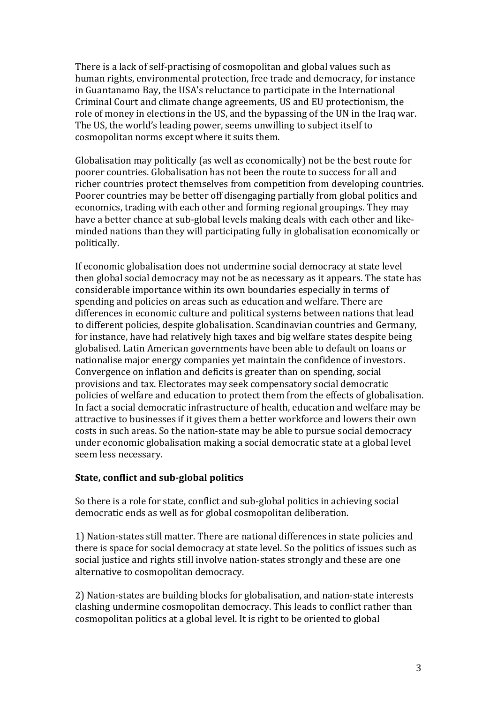There is a lack of self-practising of cosmopolitan and global values such as human rights, environmental protection, free trade and democracy, for instance in Guantanamo Bay, the USA's reluctance to participate in the International Criminal Court and climate change agreements, US and EU protectionism, the role of money in elections in the US, and the bypassing of the UN in the Iraq war. The US, the world's leading power, seems unwilling to subject itself to cosmopolitan norms except where it suits them.

Globalisation may politically (as well as economically) not be the best route for poorer countries. Globalisation has not been the route to success for all and richer countries protect themselves from competition from developing countries. Poorer countries may be better off disengaging partially from global politics and economics, trading with each other and forming regional groupings. They may have a better chance at sub-global levels making deals with each other and likeminded nations than they will participating fully in globalisation economically or politically.

If economic globalisation does not undermine social democracy at state level then global social democracy may not be as necessary as it appears. The state has considerable importance within its own boundaries especially in terms of spending and policies on areas such as education and welfare. There are differences in economic culture and political systems between nations that lead to different policies, despite globalisation. Scandinavian countries and Germany, for instance, have had relatively high taxes and big welfare states despite being globalised. Latin American governments have been able to default on loans or nationalise major energy companies yet maintain the confidence of investors. Convergence on inflation and deficits is greater than on spending, social provisions and tax. Electorates may seek compensatory social democratic policies of welfare and education to protect them from the effects of globalisation. In fact a social democratic infrastructure of health, education and welfare may be attractive to businesses if it gives them a better workforce and lowers their own costs in such areas. So the nation-state may be able to pursue social democracy under economic globalisation making a social democratic state at a global level seem less necessary.

## **State, conflict and sub-global politics**

So there is a role for state, conflict and sub-global politics in achieving social democratic ends as well as for global cosmopolitan deliberation.

1) Nation-states still matter. There are national differences in state policies and there is space for social democracy at state level. So the politics of issues such as social justice and rights still involve nation-states strongly and these are one alternative to cosmopolitan democracy.

2) Nation-states are building blocks for globalisation, and nation-state interests clashing undermine cosmopolitan democracy. This leads to conflict rather than cosmopolitan politics at a global level. It is right to be oriented to global